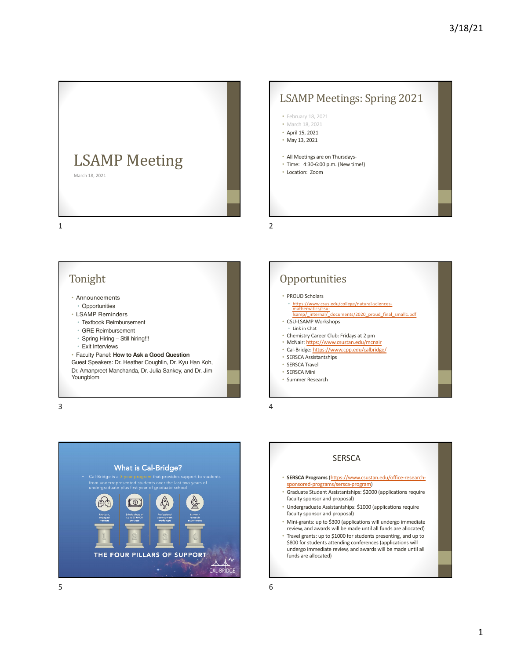

## LSAMP Meetings: Spring 2021

- February 18, 2021
- March 18, 2021
- April 15, 2021
- May 13, 2021
- All Meetings are on Thursdays-
- Time: 4:30-6:00 p.m. (New time!)
- Location: Zoom

1

# Tonight

- Announcements
	- Opportunities
- [LSAMP Reminders](https://www.csus.edu/college/natural-sciences-mathematics/csu-lsamp/_internal/_documents/2020_proud_final_small1.pdf)
- Textbook Reimbursement
- GRE Reimbursement
- Spring Hiring Still hiring!!!
- [Exit Interviews](https://www.cpp.edu/calbridge/)

• Faculty Panel: **How to Ask a Good Question**

Guest Speakers: Dr. Heather Coughlin, Dr. Kyu Han Koh, Dr. Amanpreet Manchanda, Dr. Julia Sankey, and Dr. Jim Youngblom

3





#### • PROUD Scholars

- https://www.csus.edu/college/natural-sciencesmathematics/csu-<br>Isamp/\_internal/\_documents/2020\_proud\_final\_small1.pdf
- CSU-LSAMP Workshops
- Link in Chat
- Chemistry Career Club: Fridays at 2 pm • McNair: https://www.csustan.edu/mcnair
- Cal-Bridge: https://www.cpp.edu/calbridge/
- SERSCA Assistantships
- SERSCA Travel
- SERSCA Mini
- Summer Research

4

2

#### **SERSCA**

- **SERSCA Programs** (https://www.csustan.edu/office-researchsponsored-programs/sersca-program)
- Graduate Student Assistantships: \$2000 (applications require faculty sponsor and proposal)
- Undergraduate Assistantships: \$1000 (applications require faculty sponsor and proposal)
- Mini-grants: up to \$300 (applications will undergo immediate review, and awards will be made until all funds are allocated)
- Travel grants: up to \$1000 for students presenting, and up to \$800 for students attending conferences (applications will undergo immediate review, and awards will be made until all funds are allocated)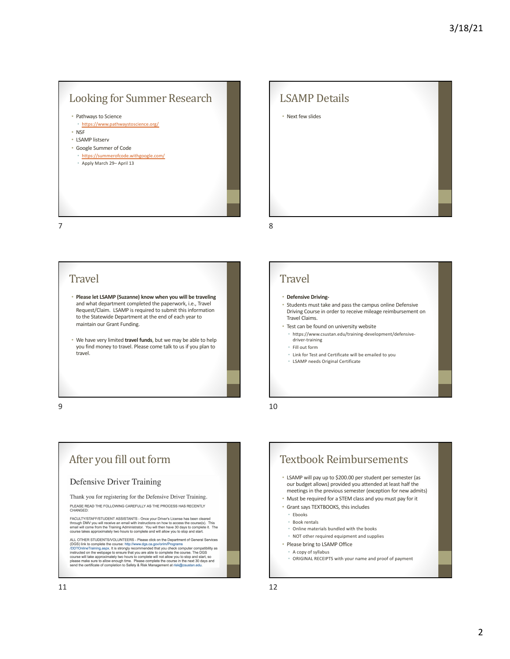## Looking for Summer Research

• Pathways to Science

- [https://w](https://www.pathwaystoscience.org/)ww.pathwaystoscience.org/ • NSF
- LSAMP listserv
- Google Summer of Code
- [https://summ](https://summerofcode.withgoogle.com/)erofcode.withgoogle.com/
- Apply March 29– April 13

# **LSAMP** Details

• Next few slides

7

#### **Travel**

- **Please let LSAMP (Suzanne) know when you will be traveling**  and what department completed the paperwork, i.e., Travel Request/Claim. LSAMP is required to submit this information to the Statewide Department at the end of each year to maintain our Grant Funding.
- We have very limited **travel funds**, but we may be able to help you find money to travel. Please come talk to us if you plan to travel.

9

## After you fill out form

#### **Defensive Driver Training**

Thank you for registering for the Defensive Driver Training.

PLEASE READ THE FOLLOWING CAREFULLY AS THE PROCESS HAS RECENTLY<br>CHANGED:

FACULTY/STAFF/STUDENT ASSISTANTS - Once your Driver's License has been cleared<br>through DMV you will receive an email with instructions on how to access the course(s). This<br>email will come from the Training Administrator. Y

ALL OTHER STUDENTS/VOLUNTEERS - Please click on the Department of General Services<br>(DGS) link to complete the course: http://www.dgs.ca.gov/orim/Programs<br>/DDTOnlineTraining.aspx. It is strongly recommended that you check c



## **Travel**

8

#### • **Defensive Driving-**

- Students must take and pass the campus online Defensive Driving Course in order to receive mileage reimbursement on Travel Claims.
- Test can be found on university website
	- https://www.csustan.edu/training-development/defensivedriver-training
	- Fill out form
	- Link for Test and Certificate will be emailed to you
	- LSAMP needs Original Certificate

10



- A copy of syllabus
- ORIGINAL RECEIPTS with your name and proof of payment